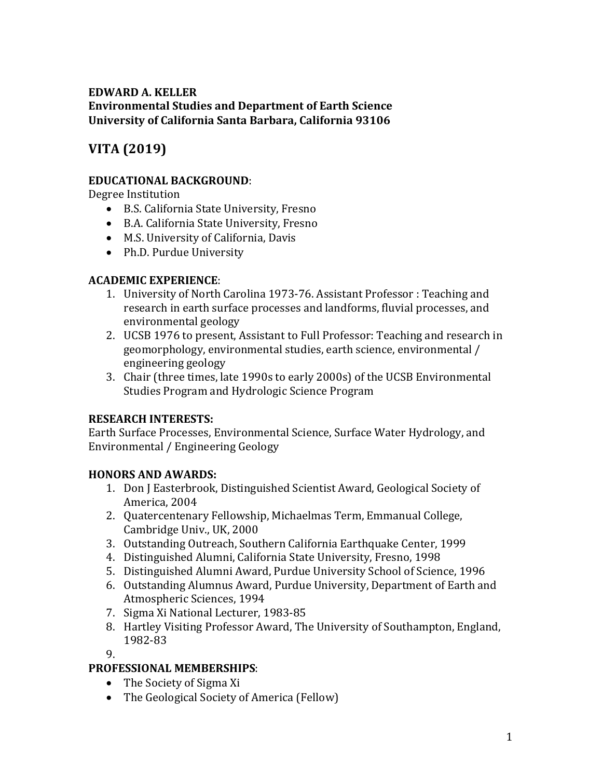## **EDWARD A. KELLER Environmental Studies and Department of Earth Science** University of California Santa Barbara, California 93106

# **VITA (2019)**

## **EDUCATIONAL BACKGROUND:**

Degree Institution

- B.S. California State University, Fresno
- B.A. California State University, Fresno
- M.S. University of California, Davis
- Ph.D. Purdue University

## **ACADEMIC EXPERIENCE:**

- 1. University of North Carolina 1973-76. Assistant Professor : Teaching and research in earth surface processes and landforms, fluvial processes, and environmental geology
- 2. UCSB 1976 to present, Assistant to Full Professor: Teaching and research in geomorphology, environmental studies, earth science, environmental / engineering geology
- 3. Chair (three times, late 1990s to early 2000s) of the UCSB Environmental Studies Program and Hydrologic Science Program

## **RESEARCH INTERESTS:**

Earth Surface Processes, Environmental Science, Surface Water Hydrology, and Environmental / Engineering Geology

## **HONORS AND AWARDS:**

- 1. Don J Easterbrook, Distinguished Scientist Award, Geological Society of America, 2004
- 2. Quatercentenary Fellowship, Michaelmas Term, Emmanual College, Cambridge Univ., UK, 2000
- 3. Outstanding Outreach, Southern California Earthquake Center, 1999
- 4. Distinguished Alumni, California State University, Fresno, 1998
- 5. Distinguished Alumni Award, Purdue University School of Science, 1996
- 6. Outstanding Alumnus Award, Purdue University, Department of Earth and Atmospheric Sciences, 1994
- 7. Sigma Xi National Lecturer, 1983-85
- 8. Hartley Visiting Professor Award, The University of Southampton, England, 1982-83

9.

## **PROFESSIONAL MEMBERSHIPS:**

- The Society of Sigma Xi
- The Geological Society of America (Fellow)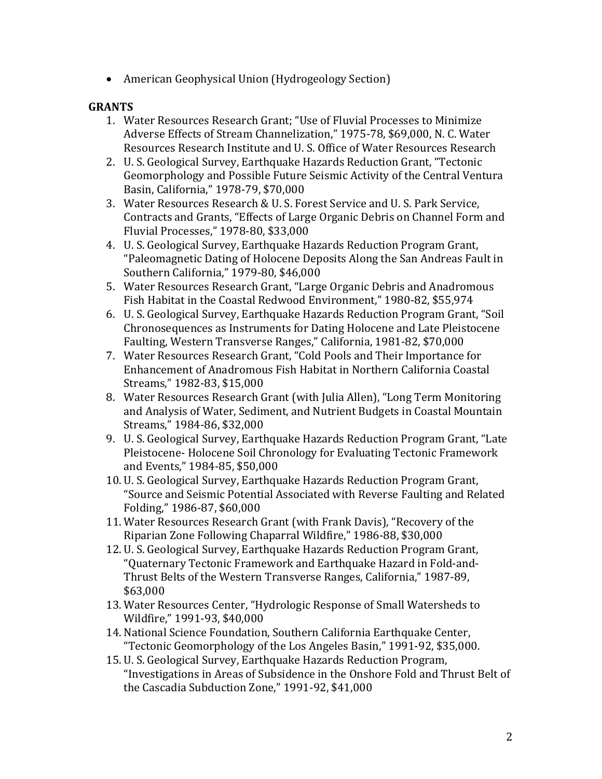• American Geophysical Union (Hydrogeology Section)

## **GRANTS**

- 1. Water Resources Research Grant; "Use of Fluvial Processes to Minimize Adverse Effects of Stream Channelization," 1975-78, \$69,000, N. C. Water Resources Research Institute and U.S. Office of Water Resources Research
- 2. U. S. Geological Survey, Earthquake Hazards Reduction Grant, "Tectonic Geomorphology and Possible Future Seismic Activity of the Central Ventura Basin, California," 1978-79, \$70,000
- 3. Water Resources Research & U. S. Forest Service and U. S. Park Service, Contracts and Grants, "Effects of Large Organic Debris on Channel Form and Fluvial Processes," 1978-80, \$33,000
- 4. U. S. Geological Survey, Earthquake Hazards Reduction Program Grant, "Paleomagnetic Dating of Holocene Deposits Along the San Andreas Fault in Southern California," 1979-80, \$46,000
- 5. Water Resources Research Grant, "Large Organic Debris and Anadromous Fish Habitat in the Coastal Redwood Environment," 1980-82, \$55,974
- 6. U. S. Geological Survey, Earthquake Hazards Reduction Program Grant, "Soil Chronosequences as Instruments for Dating Holocene and Late Pleistocene Faulting, Western Transverse Ranges," California, 1981-82, \$70,000
- 7. Water Resources Research Grant, "Cold Pools and Their Importance for Enhancement of Anadromous Fish Habitat in Northern California Coastal Streams," 1982-83, \$15,000
- 8. Water Resources Research Grant (with Julia Allen), "Long Term Monitoring and Analysis of Water, Sediment, and Nutrient Budgets in Coastal Mountain Streams," 1984-86, \$32,000
- 9. U. S. Geological Survey, Earthquake Hazards Reduction Program Grant, "Late Pleistocene- Holocene Soil Chronology for Evaluating Tectonic Framework and Events," 1984-85, \$50,000
- 10. U. S. Geological Survey, Earthquake Hazards Reduction Program Grant, "Source and Seismic Potential Associated with Reverse Faulting and Related Folding," 1986-87, \$60,000
- 11. Water Resources Research Grant (with Frank Davis), "Recovery of the Riparian Zone Following Chaparral Wildfire," 1986-88, \$30,000
- 12. U. S. Geological Survey, Earthquake Hazards Reduction Program Grant, "Quaternary Tectonic Framework and Earthquake Hazard in Fold-and-Thrust Belts of the Western Transverse Ranges, California," 1987-89, \$63,000
- 13. Water Resources Center, "Hydrologic Response of Small Watersheds to Wildfire," 1991-93, \$40,000
- 14. National Science Foundation, Southern California Earthquake Center, "Tectonic Geomorphology of the Los Angeles Basin," 1991-92, \$35,000.
- 15. U. S. Geological Survey, Earthquake Hazards Reduction Program, "Investigations in Areas of Subsidence in the Onshore Fold and Thrust Belt of the Cascadia Subduction Zone," 1991-92, \$41,000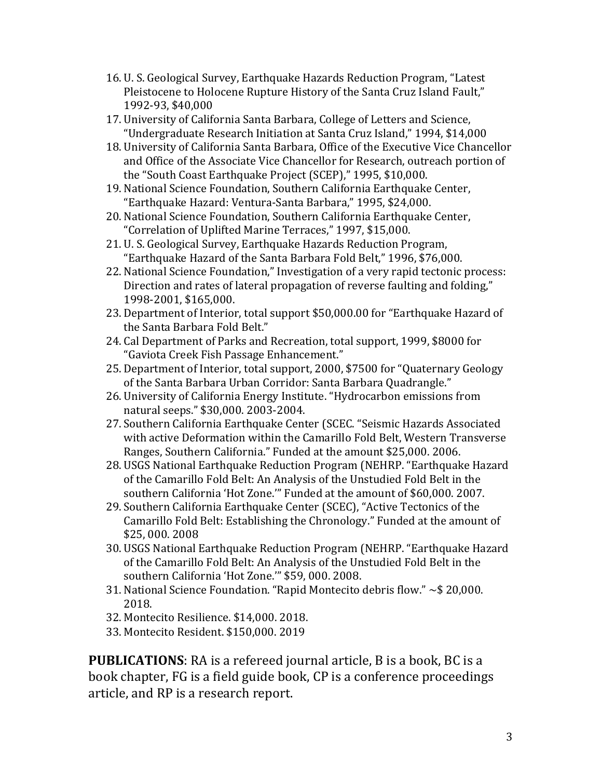- 16. U. S. Geological Survey, Earthquake Hazards Reduction Program, "Latest" Pleistocene to Holocene Rupture History of the Santa Cruz Island Fault," 1992-93, \$40,000
- 17. University of California Santa Barbara, College of Letters and Science, "Undergraduate Research Initiation at Santa Cruz Island," 1994, \$14,000
- 18. University of California Santa Barbara, Office of the Executive Vice Chancellor and Office of the Associate Vice Chancellor for Research, outreach portion of the "South Coast Earthquake Project (SCEP)," 1995, \$10,000.
- 19. National Science Foundation, Southern California Earthquake Center, "Earthquake Hazard: Ventura-Santa Barbara," 1995, \$24,000.
- 20. National Science Foundation, Southern California Earthquake Center, "Correlation of Uplifted Marine Terraces," 1997, \$15,000.
- 21. U. S. Geological Survey, Earthquake Hazards Reduction Program, "Earthquake Hazard of the Santa Barbara Fold Belt," 1996, \$76,000.
- 22. National Science Foundation," Investigation of a very rapid tectonic process: Direction and rates of lateral propagation of reverse faulting and folding," 1998-2001, \$165,000.
- 23. Department of Interior, total support \$50,000.00 for "Earthquake Hazard of the Santa Barbara Fold Belt."
- 24. Cal Department of Parks and Recreation, total support, 1999, \$8000 for "Gaviota Creek Fish Passage Enhancement."
- 25. Department of Interior, total support, 2000, \$7500 for "Quaternary Geology of the Santa Barbara Urban Corridor: Santa Barbara Quadrangle."
- 26. University of California Energy Institute. "Hydrocarbon emissions from natural seeps." \$30,000. 2003-2004.
- 27. Southern California Earthquake Center (SCEC. "Seismic Hazards Associated with active Deformation within the Camarillo Fold Belt, Western Transverse Ranges, Southern California." Funded at the amount \$25,000. 2006.
- 28. USGS National Earthquake Reduction Program (NEHRP. "Earthquake Hazard of the Camarillo Fold Belt: An Analysis of the Unstudied Fold Belt in the southern California 'Hot Zone.'" Funded at the amount of \$60,000. 2007.
- 29. Southern California Earthquake Center (SCEC), "Active Tectonics of the Camarillo Fold Belt: Establishing the Chronology." Funded at the amount of \$25, 000. 2008
- 30. USGS National Earthquake Reduction Program (NEHRP. "Earthquake Hazard of the Camarillo Fold Belt: An Analysis of the Unstudied Fold Belt in the southern California 'Hot Zone." \$59, 000. 2008.
- 31. National Science Foundation. "Rapid Montecito debris flow."  $\sim$ \$ 20,000. 2018.
- 32. Montecito Resilience. \$14,000. 2018.
- 33. Montecito Resident. \$150,000. 2019

**PUBLICATIONS:** RA is a refereed journal article, B is a book, BC is a book chapter, FG is a field guide book, CP is a conference proceedings article, and RP is a research report.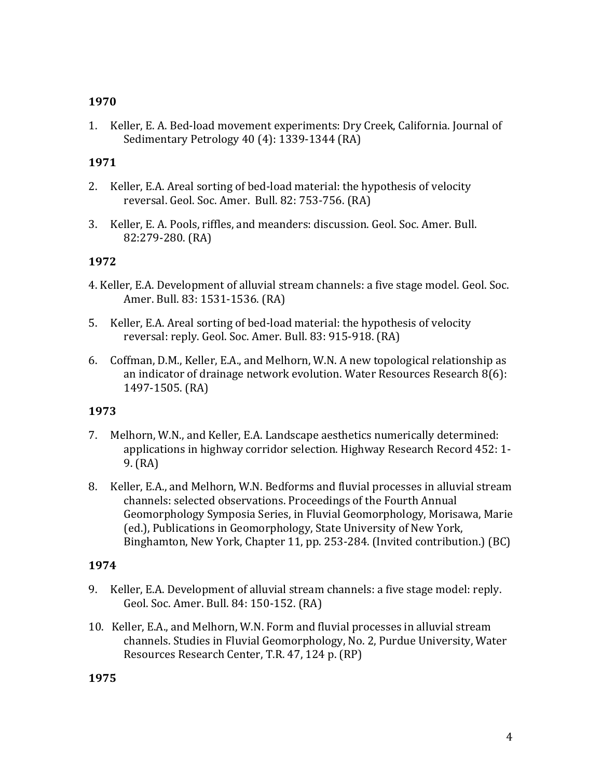1. Keller, E. A. Bed-load movement experiments: Dry Creek, California. Journal of Sedimentary Petrology  $40(4)$ : 1339-1344 (RA)

## **1971**

- 2. Keller, E.A. Areal sorting of bed-load material: the hypothesis of velocity reversal. Geol. Soc. Amer. Bull. 82: 753-756. (RA)
- 3. Keller, E. A. Pools, riffles, and meanders: discussion. Geol. Soc. Amer. Bull. 82:279-280. (RA)

## **1972**

- 4. Keller, E.A. Development of alluvial stream channels: a five stage model. Geol. Soc. Amer. Bull. 83: 1531-1536. (RA)
- 5. Keller, E.A. Areal sorting of bed-load material: the hypothesis of velocity reversal: reply. Geol. Soc. Amer. Bull. 83: 915-918. (RA)
- 6. Coffman, D.M., Keller, E.A., and Melhorn, W.N. A new topological relationship as an indicator of drainage network evolution. Water Resources Research  $8(6)$ : 1497-1505. (RA)

## **1973**

- 7. Melhorn, W.N., and Keller, E.A. Landscape aesthetics numerically determined: applications in highway corridor selection. Highway Research Record 452: 1- $9. (RA)$
- 8. Keller, E.A., and Melhorn, W.N. Bedforms and fluvial processes in alluvial stream channels: selected observations. Proceedings of the Fourth Annual Geomorphology Symposia Series, in Fluvial Geomorphology, Morisawa, Marie (ed.), Publications in Geomorphology, State University of New York, Binghamton, New York, Chapter 11, pp. 253-284. (Invited contribution.) (BC)

## **1974**

- 9. Keller, E.A. Development of alluvial stream channels: a five stage model: reply. Geol. Soc. Amer. Bull. 84: 150-152. (RA)
- 10. Keller, E.A., and Melhorn, W.N. Form and fluvial processes in alluvial stream channels. Studies in Fluvial Geomorphology, No. 2, Purdue University, Water Resources Research Center, T.R. 47, 124 p. (RP)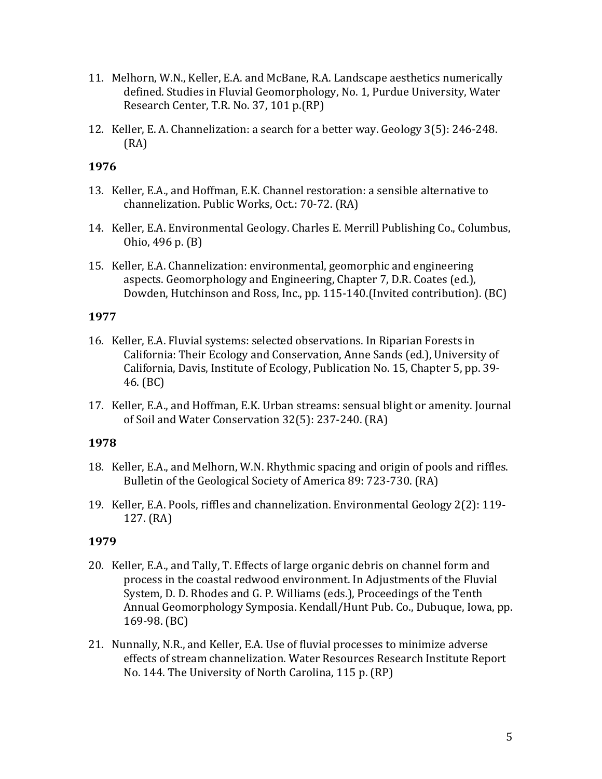- 11. Melhorn, W.N., Keller, E.A. and McBane, R.A. Landscape aesthetics numerically defined. Studies in Fluvial Geomorphology, No. 1, Purdue University, Water Research Center, T.R. No. 37, 101 p.(RP)
- 12. Keller, E. A. Channelization: a search for a better way. Geology 3(5): 246-248. (RA)

- 13. Keller, E.A., and Hoffman, E.K. Channel restoration: a sensible alternative to channelization. Public Works, Oct.: 70-72. (RA)
- 14. Keller, E.A. Environmental Geology. Charles E. Merrill Publishing Co., Columbus, Ohio, 496 p. (B)
- 15. Keller, E.A. Channelization: environmental, geomorphic and engineering aspects. Geomorphology and Engineering, Chapter 7, D.R. Coates (ed.), Dowden, Hutchinson and Ross, Inc., pp. 115-140. (Invited contribution). (BC)

## **1977**

- 16. Keller, E.A. Fluvial systems: selected observations. In Riparian Forests in California: Their Ecology and Conservation, Anne Sands (ed.), University of California, Davis, Institute of Ecology, Publication No. 15, Chapter 5, pp. 39-46. (BC)
- 17. Keller, E.A., and Hoffman, E.K. Urban streams: sensual blight or amenity. Journal of Soil and Water Conservation 32(5): 237-240. (RA)

## **1978**

- 18. Keller, E.A., and Melhorn, W.N. Rhythmic spacing and origin of pools and riffles. Bulletin of the Geological Society of America 89: 723-730. (RA)
- 19. Keller, E.A. Pools, riffles and channelization. Environmental Geology 2(2): 119- $127. (RA)$

- 20. Keller, E.A., and Tally, T. Effects of large organic debris on channel form and process in the coastal redwood environment. In Adjustments of the Fluvial System, D. D. Rhodes and G. P. Williams (eds.), Proceedings of the Tenth Annual Geomorphology Symposia. Kendall/Hunt Pub. Co., Dubuque, Iowa, pp. 169-98. (BC)
- 21. Nunnally, N.R., and Keller, E.A. Use of fluvial processes to minimize adverse effects of stream channelization. Water Resources Research Institute Report No. 144. The University of North Carolina, 115 p. (RP)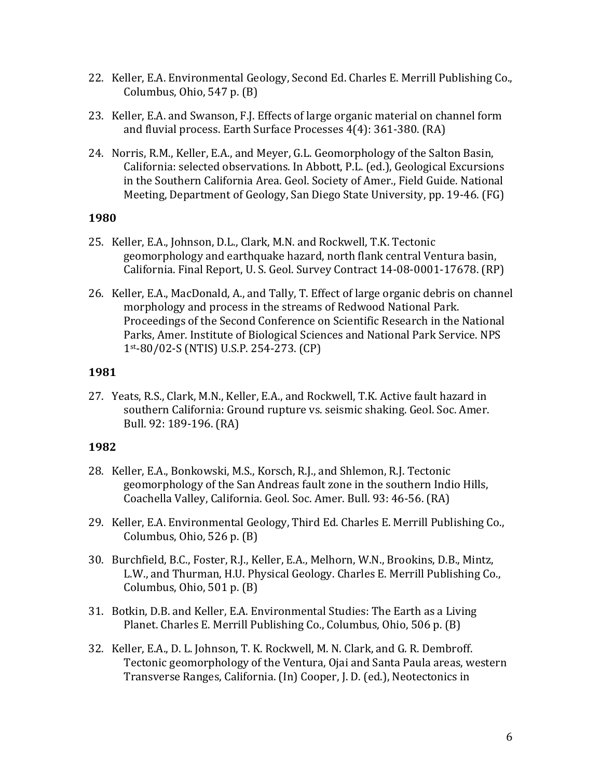- 22. Keller, E.A. Environmental Geology, Second Ed. Charles E. Merrill Publishing Co., Columbus, Ohio,  $547$  p.  $(B)$
- 23. Keller, E.A. and Swanson, F.J. Effects of large organic material on channel form and fluvial process. Earth Surface Processes  $4(4)$ : 361-380. (RA)
- 24. Norris, R.M., Keller, E.A., and Meyer, G.L. Geomorphology of the Salton Basin, California: selected observations. In Abbott, P.L. (ed.), Geological Excursions in the Southern California Area. Geol. Society of Amer., Field Guide. National Meeting, Department of Geology, San Diego State University, pp. 19-46. (FG)

- 25. Keller, E.A., Johnson, D.L., Clark, M.N. and Rockwell, T.K. Tectonic geomorphology and earthquake hazard, north flank central Ventura basin, California. Final Report, U. S. Geol. Survey Contract 14-08-0001-17678. (RP)
- 26. Keller, E.A., MacDonald, A., and Tally, T. Effect of large organic debris on channel morphology and process in the streams of Redwood National Park. Proceedings of the Second Conference on Scientific Research in the National Parks, Amer. Institute of Biological Sciences and National Park Service. NPS 1st-80/02-S (NTIS) U.S.P. 254-273. (CP)

## **1981**

27. Yeats, R.S., Clark, M.N., Keller, E.A., and Rockwell, T.K. Active fault hazard in southern California: Ground rupture vs. seismic shaking. Geol. Soc. Amer. Bull. 92: 189-196. (RA)

- 28. Keller, E.A., Bonkowski, M.S., Korsch, R.J., and Shlemon, R.J. Tectonic geomorphology of the San Andreas fault zone in the southern Indio Hills, Coachella Valley, California. Geol. Soc. Amer. Bull. 93: 46-56. (RA)
- 29. Keller, E.A. Environmental Geology, Third Ed. Charles E. Merrill Publishing Co., Columbus, Ohio,  $526$  p.  $(B)$
- 30. Burchfield, B.C., Foster, R.J., Keller, E.A., Melhorn, W.N., Brookins, D.B., Mintz, L.W., and Thurman, H.U. Physical Geology. Charles E. Merrill Publishing Co., Columbus, Ohio,  $501$  p.  $(B)$
- 31. Botkin, D.B. and Keller, E.A. Environmental Studies: The Earth as a Living Planet. Charles E. Merrill Publishing Co., Columbus, Ohio, 506 p. (B)
- 32. Keller, E.A., D. L. Johnson, T. K. Rockwell, M. N. Clark, and G. R. Dembroff. Tectonic geomorphology of the Ventura, Ojai and Santa Paula areas, western Transverse Ranges, California. (In) Cooper, J. D. (ed.), Neotectonics in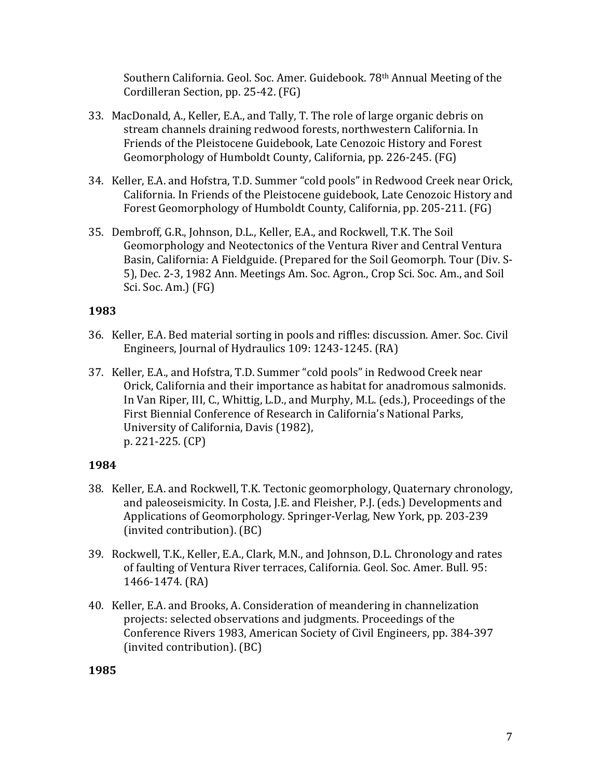Southern California. Geol. Soc. Amer. Guidebook. 78<sup>th</sup> Annual Meeting of the Cordilleran Section, pp. 25-42. (FG)

- 33. MacDonald, A., Keller, E.A., and Tally, T. The role of large organic debris on stream channels draining redwood forests, northwestern California. In Friends of the Pleistocene Guidebook, Late Cenozoic History and Forest Geomorphology of Humboldt County, California, pp. 226-245. (FG)
- 34. Keller, E.A. and Hofstra, T.D. Summer "cold pools" in Redwood Creek near Orick, California. In Friends of the Pleistocene guidebook, Late Cenozoic History and Forest Geomorphology of Humboldt County, California, pp. 205-211. (FG)
- 35. Dembroff, G.R., Johnson, D.L., Keller, E.A., and Rockwell, T.K. The Soil Geomorphology and Neotectonics of the Ventura River and Central Ventura Basin, California: A Fieldguide. (Prepared for the Soil Geomorph. Tour (Div. S-5), Dec. 2-3, 1982 Ann. Meetings Am. Soc. Agron., Crop Sci. Soc. Am., and Soil Sci. Soc. Am.) (FG)

## **1983**

- 36. Keller, E.A. Bed material sorting in pools and riffles: discussion. Amer. Soc. Civil Engineers, Journal of Hydraulics 109: 1243-1245. (RA)
- 37. Keller, E.A., and Hofstra, T.D. Summer "cold pools" in Redwood Creek near Orick, California and their importance as habitat for anadromous salmonids. In Van Riper, III, C., Whittig, L.D., and Murphy, M.L. (eds.), Proceedings of the First Biennial Conference of Research in California's National Parks, University of California, Davis (1982), p. 221-225. (CP)

## **1984**

- 38. Keller, E.A. and Rockwell, T.K. Tectonic geomorphology, Quaternary chronology, and paleoseismicity. In Costa, J.E. and Fleisher, P.J. (eds.) Developments and Applications of Geomorphology. Springer-Verlag, New York, pp. 203-239 (invited contribution). (BC)
- 39. Rockwell, T.K., Keller, E.A., Clark, M.N., and Johnson, D.L. Chronology and rates of faulting of Ventura River terraces, California. Geol. Soc. Amer. Bull. 95: 1466-1474. (RA)
- 40. Keller, E.A. and Brooks, A. Consideration of meandering in channelization projects: selected observations and judgments. Proceedings of the Conference Rivers 1983, American Society of Civil Engineers, pp. 384-397 (invited contribution). (BC)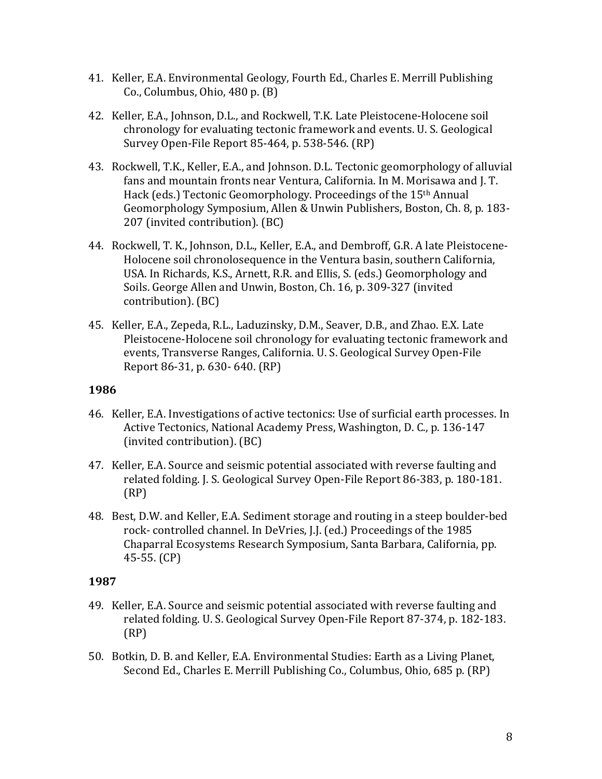- 41. Keller, E.A. Environmental Geology, Fourth Ed., Charles E. Merrill Publishing Co., Columbus, Ohio,  $480$  p.  $(B)$
- 42. Keller, E.A., Johnson, D.L., and Rockwell, T.K. Late Pleistocene-Holocene soil chronology for evaluating tectonic framework and events. U. S. Geological Survey Open-File Report 85-464, p. 538-546. (RP)
- 43. Rockwell, T.K., Keller, E.A., and Johnson. D.L. Tectonic geomorphology of alluvial fans and mountain fronts near Ventura, California. In M. Morisawa and J. T. Hack (eds.) Tectonic Geomorphology. Proceedings of the 15<sup>th</sup> Annual Geomorphology Symposium, Allen & Unwin Publishers, Boston, Ch. 8, p. 183-207 (invited contribution). (BC)
- 44. Rockwell, T. K., Johnson, D.L., Keller, E.A., and Dembroff, G.R. A late Pleistocene-Holocene soil chronolosequence in the Ventura basin, southern California, USA. In Richards, K.S., Arnett, R.R. and Ellis, S. (eds.) Geomorphology and Soils. George Allen and Unwin, Boston, Ch. 16, p. 309-327 (invited contribution). (BC)
- 45. Keller, E.A., Zepeda, R.L., Laduzinsky, D.M., Seaver, D.B., and Zhao. E.X. Late Pleistocene-Holocene soil chronology for evaluating tectonic framework and events, Transverse Ranges, California. U. S. Geological Survey Open-File Report 86-31, p. 630- 640. (RP)

- 46. Keller, E.A. Investigations of active tectonics: Use of surficial earth processes. In Active Tectonics, National Academy Press, Washington, D. C., p. 136-147 (invited contribution). (BC)
- 47. Keller, E.A. Source and seismic potential associated with reverse faulting and related folding. J. S. Geological Survey Open-File Report 86-383, p. 180-181. (RP)
- 48. Best, D.W. and Keller, E.A. Sediment storage and routing in a steep boulder-bed rock- controlled channel. In DeVries, J.J. (ed.) Proceedings of the 1985 Chaparral Ecosystems Research Symposium, Santa Barbara, California, pp.  $45-55.$  (CP)

- 49. Keller, E.A. Source and seismic potential associated with reverse faulting and related folding. U. S. Geological Survey Open-File Report 87-374, p. 182-183. (RP)
- 50. Botkin, D. B. and Keller, E.A. Environmental Studies: Earth as a Living Planet, Second Ed., Charles E. Merrill Publishing Co., Columbus, Ohio, 685 p. (RP)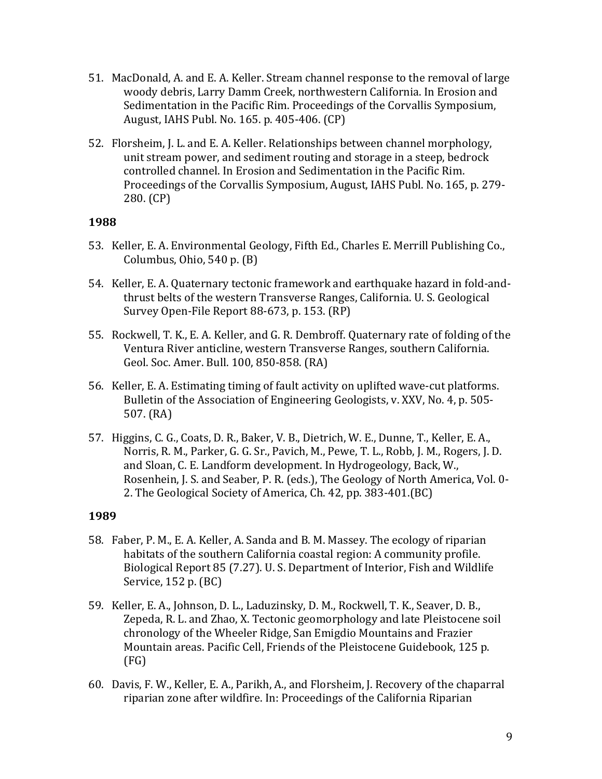- 51. MacDonald, A. and E. A. Keller. Stream channel response to the removal of large woody debris, Larry Damm Creek, northwestern California. In Erosion and Sedimentation in the Pacific Rim. Proceedings of the Corvallis Symposium, August, IAHS Publ. No. 165. p. 405-406. (CP)
- 52. Florsheim, J. L. and E. A. Keller. Relationships between channel morphology, unit stream power, and sediment routing and storage in a steep, bedrock controlled channel. In Erosion and Sedimentation in the Pacific Rim. Proceedings of the Corvallis Symposium, August, IAHS Publ. No. 165, p. 279- $280. (CP)$

- 53. Keller, E. A. Environmental Geology, Fifth Ed., Charles E. Merrill Publishing Co., Columbus, Ohio,  $540$  p.  $(B)$
- 54. Keller, E. A. Quaternary tectonic framework and earthquake hazard in fold-andthrust belts of the western Transverse Ranges, California. U. S. Geological Survey Open-File Report 88-673, p. 153. (RP)
- 55. Rockwell, T. K., E. A. Keller, and G. R. Dembroff. Quaternary rate of folding of the Ventura River anticline, western Transverse Ranges, southern California. Geol. Soc. Amer. Bull. 100, 850-858. (RA)
- 56. Keller, E. A. Estimating timing of fault activity on uplifted wave-cut platforms. Bulletin of the Association of Engineering Geologists, v. XXV, No. 4, p. 505- $507. (RA)$
- 57. Higgins, C. G., Coats, D. R., Baker, V. B., Dietrich, W. E., Dunne, T., Keller, E. A., Norris, R. M., Parker, G. G. Sr., Pavich, M., Pewe, T. L., Robb, J. M., Rogers, J. D. and Sloan, C. E. Landform development. In Hydrogeology, Back, W., Rosenhein, J. S. and Seaber, P. R. (eds.), The Geology of North America, Vol. 0-2. The Geological Society of America, Ch. 42, pp. 383-401.(BC)

- 58. Faber, P. M., E. A. Keller, A. Sanda and B. M. Massey. The ecology of riparian habitats of the southern California coastal region: A community profile. Biological Report 85 (7.27). U. S. Department of Interior, Fish and Wildlife Service,  $152$  p.  $(BC)$
- 59. Keller, E. A., Johnson, D. L., Laduzinsky, D. M., Rockwell, T. K., Seaver, D. B., Zepeda, R. L. and Zhao, X. Tectonic geomorphology and late Pleistocene soil chronology of the Wheeler Ridge, San Emigdio Mountains and Frazier Mountain areas. Pacific Cell, Friends of the Pleistocene Guidebook, 125 p. (FG)
- 60. Davis, F. W., Keller, E. A., Parikh, A., and Florsheim, J. Recovery of the chaparral riparian zone after wildfire. In: Proceedings of the California Riparian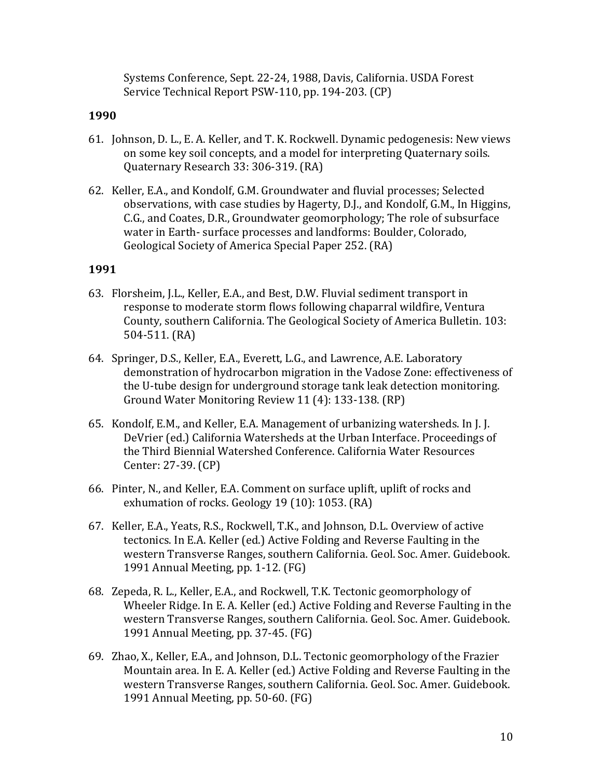Systems Conference, Sept. 22-24, 1988, Davis, California. USDA Forest Service Technical Report PSW-110, pp. 194-203. (CP)

### **1990**

- 61. Johnson, D. L., E. A. Keller, and T. K. Rockwell. Dynamic pedogenesis: New views on some key soil concepts, and a model for interpreting Quaternary soils. Quaternary Research 33: 306-319. (RA)
- 62. Keller, E.A., and Kondolf, G.M. Groundwater and fluvial processes; Selected observations, with case studies by Hagerty, D.J., and Kondolf, G.M., In Higgins, C.G., and Coates, D.R., Groundwater geomorphology; The role of subsurface water in Earth- surface processes and landforms: Boulder, Colorado, Geological Society of America Special Paper 252. (RA)

- 63. Florsheim, J.L., Keller, E.A., and Best, D.W. Fluvial sediment transport in response to moderate storm flows following chaparral wildfire, Ventura County, southern California. The Geological Society of America Bulletin. 103: 504-511. (RA)
- 64. Springer, D.S., Keller, E.A., Everett, L.G., and Lawrence, A.E. Laboratory demonstration of hydrocarbon migration in the Vadose Zone: effectiveness of the U-tube design for underground storage tank leak detection monitoring. Ground Water Monitoring Review 11 (4): 133-138. (RP)
- 65. Kondolf, E.M., and Keller, E.A. Management of urbanizing watersheds. In J. J. DeVrier (ed.) California Watersheds at the Urban Interface. Proceedings of the Third Biennial Watershed Conference. California Water Resources Center: 27-39. (CP)
- 66. Pinter, N., and Keller, E.A. Comment on surface uplift, uplift of rocks and exhumation of rocks. Geology 19 (10): 1053. (RA)
- 67. Keller, E.A., Yeats, R.S., Rockwell, T.K., and Johnson, D.L. Overview of active tectonics. In E.A. Keller (ed.) Active Folding and Reverse Faulting in the western Transverse Ranges, southern California. Geol. Soc. Amer. Guidebook. 1991 Annual Meeting, pp. 1-12. (FG)
- 68. Zepeda, R. L., Keller, E.A., and Rockwell, T.K. Tectonic geomorphology of Wheeler Ridge. In E. A. Keller (ed.) Active Folding and Reverse Faulting in the western Transverse Ranges, southern California. Geol. Soc. Amer. Guidebook. 1991 Annual Meeting, pp. 37-45. (FG)
- 69. Zhao, X., Keller, E.A., and Johnson, D.L. Tectonic geomorphology of the Frazier Mountain area. In E. A. Keller (ed.) Active Folding and Reverse Faulting in the western Transverse Ranges, southern California. Geol. Soc. Amer. Guidebook. 1991 Annual Meeting, pp. 50-60. (FG)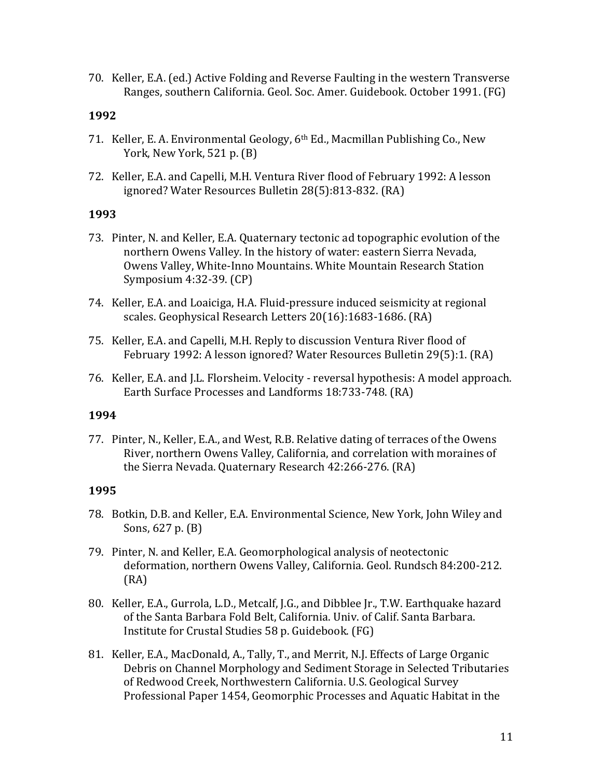70. Keller, E.A. (ed.) Active Folding and Reverse Faulting in the western Transverse Ranges, southern California. Geol. Soc. Amer. Guidebook. October 1991. (FG)

#### **1992**

- 71. Keller, E. A. Environmental Geology,  $6<sup>th</sup>$  Ed., Macmillan Publishing Co., New York, New York,  $521$  p.  $(B)$
- 72. Keller, E.A. and Capelli, M.H. Ventura River flood of February 1992: A lesson ignored? Water Resources Bulletin 28(5):813-832. (RA)

#### **1993**

- 73. Pinter, N. and Keller, E.A. Quaternary tectonic ad topographic evolution of the northern Owens Valley. In the history of water: eastern Sierra Nevada, Owens Valley, White-Inno Mountains. White Mountain Research Station Symposium 4:32-39. (CP)
- 74. Keller, E.A. and Loaiciga, H.A. Fluid-pressure induced seismicity at regional scales. Geophysical Research Letters 20(16):1683-1686. (RA)
- 75. Keller, E.A. and Capelli, M.H. Reply to discussion Ventura River flood of February 1992: A lesson ignored? Water Resources Bulletin 29(5):1. (RA)
- 76. Keller, E.A. and J.L. Florsheim. Velocity reversal hypothesis: A model approach. Earth Surface Processes and Landforms 18:733-748. (RA)

## **1994**

77. Pinter, N., Keller, E.A., and West, R.B. Relative dating of terraces of the Owens River, northern Owens Valley, California, and correlation with moraines of the Sierra Nevada. Quaternary Research 42:266-276. (RA)

- 78. Botkin, D.B. and Keller, E.A. Environmental Science, New York, John Wiley and Sons,  $627$  p.  $(B)$
- 79. Pinter, N. and Keller, E.A. Geomorphological analysis of neotectonic deformation, northern Owens Valley, California. Geol. Rundsch 84:200-212. (RA)
- 80. Keller, E.A., Gurrola, L.D., Metcalf, J.G., and Dibblee Jr., T.W. Earthquake hazard of the Santa Barbara Fold Belt, California. Univ. of Calif. Santa Barbara. Institute for Crustal Studies 58 p. Guidebook. (FG)
- 81. Keller, E.A., MacDonald, A., Tally, T., and Merrit, N.J. Effects of Large Organic Debris on Channel Morphology and Sediment Storage in Selected Tributaries of Redwood Creek, Northwestern California. U.S. Geological Survey Professional Paper 1454, Geomorphic Processes and Aquatic Habitat in the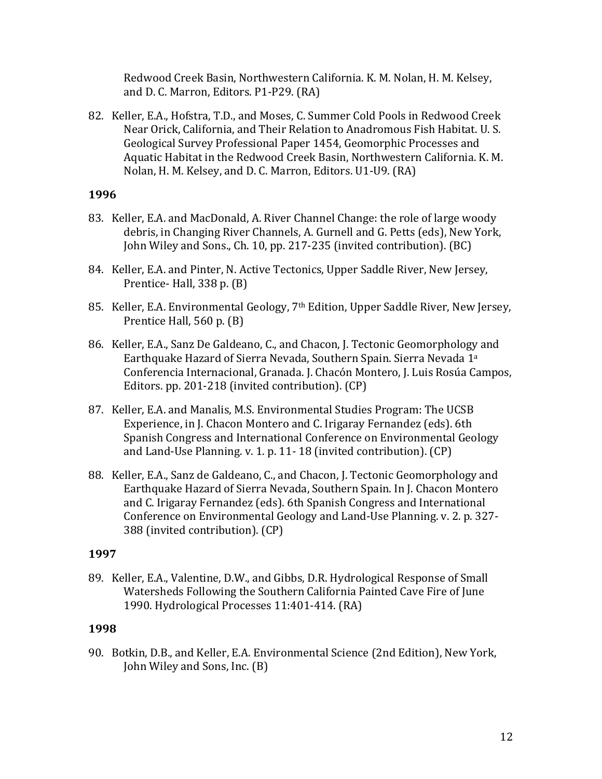Redwood Creek Basin, Northwestern California. K. M. Nolan, H. M. Kelsey, and D. C. Marron, Editors. P1-P29. (RA)

82. Keller, E.A., Hofstra, T.D., and Moses, C. Summer Cold Pools in Redwood Creek Near Orick, California, and Their Relation to Anadromous Fish Habitat. U.S. Geological Survey Professional Paper 1454, Geomorphic Processes and Aquatic Habitat in the Redwood Creek Basin, Northwestern California. K. M. Nolan, H. M. Kelsey, and D. C. Marron, Editors. U1-U9. (RA)

## **1996**

- 83. Keller, E.A. and MacDonald, A. River Channel Change: the role of large woody debris, in Changing River Channels, A. Gurnell and G. Petts (eds), New York, John Wiley and Sons., Ch. 10, pp. 217-235 (invited contribution). (BC)
- 84. Keller, E.A. and Pinter, N. Active Tectonics, Upper Saddle River, New Jersey, Prentice- Hall,  $338$  p.  $(B)$
- 85. Keller, E.A. Environmental Geology, 7<sup>th</sup> Edition, Upper Saddle River, New Jersey, Prentice Hall,  $560$  p.  $(B)$
- 86. Keller, E.A., Sanz De Galdeano, C., and Chacon, J. Tectonic Geomorphology and Earthquake Hazard of Sierra Nevada, Southern Spain. Sierra Nevada 1<sup>a</sup> Conferencia Internacional, Granada. J. Chacón Montero, J. Luis Rosúa Campos, Editors. pp. 201-218 (invited contribution). (CP)
- 87. Keller, E.A. and Manalis, M.S. Environmental Studies Program: The UCSB Experience, in J. Chacon Montero and C. Irigaray Fernandez (eds). 6th Spanish Congress and International Conference on Environmental Geology and Land-Use Planning. v. 1. p. 11-18 (invited contribution).  $(CP)$
- 88. Keller, E.A., Sanz de Galdeano, C., and Chacon, J. Tectonic Geomorphology and Earthquake Hazard of Sierra Nevada, Southern Spain. In J. Chacon Montero and C. Irigaray Fernandez (eds). 6th Spanish Congress and International Conference on Environmental Geology and Land-Use Planning. v. 2. p. 327-388 (invited contribution). (CP)

## **1997**

89. Keller, E.A., Valentine, D.W., and Gibbs, D.R. Hydrological Response of Small Watersheds Following the Southern California Painted Cave Fire of June 1990. Hydrological Processes 11:401-414. (RA)

## **1998**

90. Botkin, D.B., and Keller, E.A. Environmental Science (2nd Edition), New York, John Wiley and Sons, Inc. (B)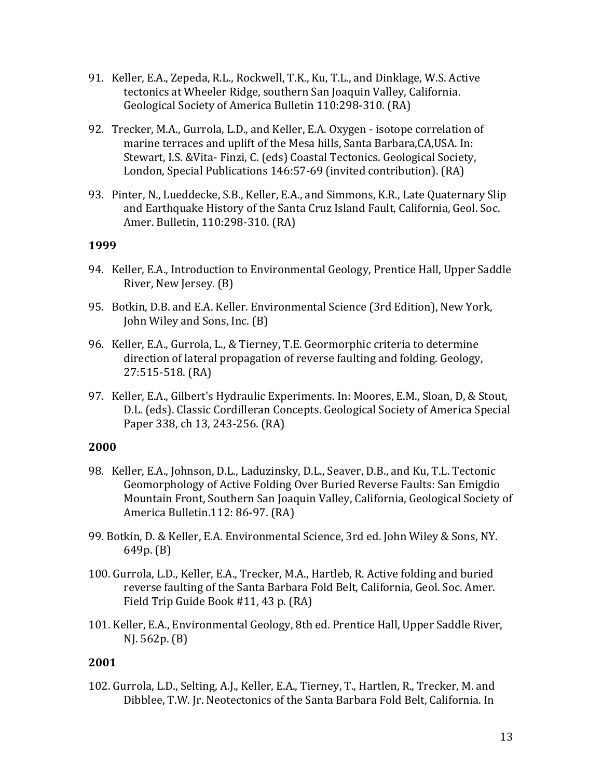- 91. Keller, E.A., Zepeda, R.L., Rockwell, T.K., Ku, T.L., and Dinklage, W.S. Active tectonics at Wheeler Ridge, southern San Joaquin Valley, California. Geological Society of America Bulletin 110:298-310. (RA)
- 92. Trecker, M.A., Gurrola, L.D., and Keller, E.A. Oxygen isotope correlation of marine terraces and uplift of the Mesa hills, Santa Barbara, CA, USA. In: Stewart, I.S. & Vita- Finzi, C. (eds) Coastal Tectonics. Geological Society, London, Special Publications 146:57-69 (invited contribution). (RA)
- 93. Pinter, N., Lueddecke, S.B., Keller, E.A., and Simmons, K.R., Late Quaternary Slip and Earthquake History of the Santa Cruz Island Fault, California, Geol. Soc. Amer. Bulletin, 110:298-310. (RA)

- 94. Keller, E.A., Introduction to Environmental Geology, Prentice Hall, Upper Saddle River, New Jersey. (B)
- 95. Botkin, D.B. and E.A. Keller. Environmental Science (3rd Edition), New York, John Wiley and Sons, Inc. (B)
- 96. Keller, E.A., Gurrola, L., & Tierney, T.E. Geormorphic criteria to determine direction of lateral propagation of reverse faulting and folding. Geology, 27:515-518. (RA)
- 97. Keller, E.A., Gilbert's Hydraulic Experiments. In: Moores, E.M., Sloan, D, & Stout, D.L. (eds). Classic Cordilleran Concepts. Geological Society of America Special Paper 338, ch 13, 243-256. (RA)

## **2000**

- 98. Keller, E.A., Johnson, D.L., Laduzinsky, D.L., Seaver, D.B., and Ku, T.L. Tectonic Geomorphology of Active Folding Over Buried Reverse Faults: San Emigdio Mountain Front, Southern San Joaquin Valley, California, Geological Society of America Bulletin.112: 86-97. (RA)
- 99. Botkin, D. & Keller, E.A. Environmental Science, 3rd ed. John Wiley & Sons, NY.  $649p. (B)$
- 100. Gurrola, L.D., Keller, E.A., Trecker, M.A., Hartleb, R. Active folding and buried reverse faulting of the Santa Barbara Fold Belt, California, Geol. Soc. Amer. Field Trip Guide Book #11, 43 p. (RA)
- 101. Keller, E.A., Environmental Geology, 8th ed. Prentice Hall, Upper Saddle River,  $NI. 562p. (B)$

## **2001**

102. Gurrola, L.D., Selting, A.J., Keller, E.A., Tierney, T., Hartlen, R., Trecker, M. and Dibblee, T.W. Jr. Neotectonics of the Santa Barbara Fold Belt, California. In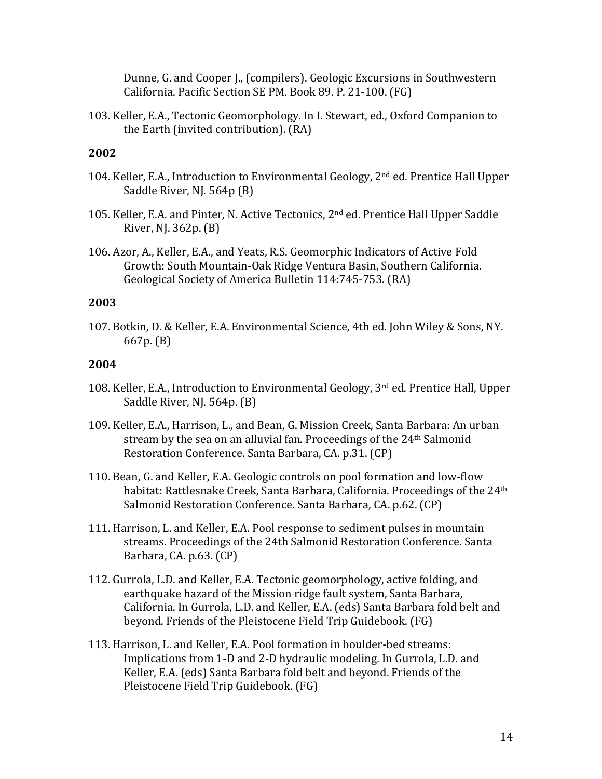Dunne, G. and Cooper J., (compilers). Geologic Excursions in Southwestern California. Pacific Section SE PM. Book 89. P. 21-100. (FG)

103. Keller, E.A., Tectonic Geomorphology. In I. Stewart, ed., Oxford Companion to the Earth (invited contribution). (RA)

## **2002**

- 104. Keller, E.A., Introduction to Environmental Geology, 2<sup>nd</sup> ed. Prentice Hall Upper Saddle River, NJ. 564p (B)
- 105. Keller, E.A. and Pinter, N. Active Tectonics, 2<sup>nd</sup> ed. Prentice Hall Upper Saddle River, NJ.  $362p.$  (B)
- 106. Azor, A., Keller, E.A., and Yeats, R.S. Geomorphic Indicators of Active Fold Growth: South Mountain-Oak Ridge Ventura Basin, Southern California. Geological Society of America Bulletin 114:745-753. (RA)

## **2003**

107. Botkin, D. & Keller, E.A. Environmental Science, 4th ed. John Wiley & Sons, NY. 667p. (B)

- 108. Keller, E.A., Introduction to Environmental Geology, 3<sup>rd</sup> ed. Prentice Hall, Upper Saddle River, NJ. 564p. (B)
- 109. Keller, E.A., Harrison, L., and Bean, G. Mission Creek, Santa Barbara: An urban stream by the sea on an alluvial fan. Proceedings of the 24<sup>th</sup> Salmonid Restoration Conference. Santa Barbara, CA. p.31. (CP)
- 110. Bean, G. and Keller, E.A. Geologic controls on pool formation and low-flow habitat: Rattlesnake Creek, Santa Barbara, California. Proceedings of the  $24<sup>th</sup>$ Salmonid Restoration Conference. Santa Barbara, CA. p.62. (CP)
- 111. Harrison, L. and Keller, E.A. Pool response to sediment pulses in mountain streams. Proceedings of the 24th Salmonid Restoration Conference. Santa Barbara, CA. p.63. (CP)
- 112. Gurrola, L.D. and Keller, E.A. Tectonic geomorphology, active folding, and earthquake hazard of the Mission ridge fault system, Santa Barbara, California. In Gurrola, L.D. and Keller, E.A. (eds) Santa Barbara fold belt and beyond. Friends of the Pleistocene Field Trip Guidebook. (FG)
- 113. Harrison, L. and Keller, E.A. Pool formation in boulder-bed streams: Implications from 1-D and 2-D hydraulic modeling. In Gurrola, L.D. and Keller, E.A. (eds) Santa Barbara fold belt and beyond. Friends of the Pleistocene Field Trip Guidebook. (FG)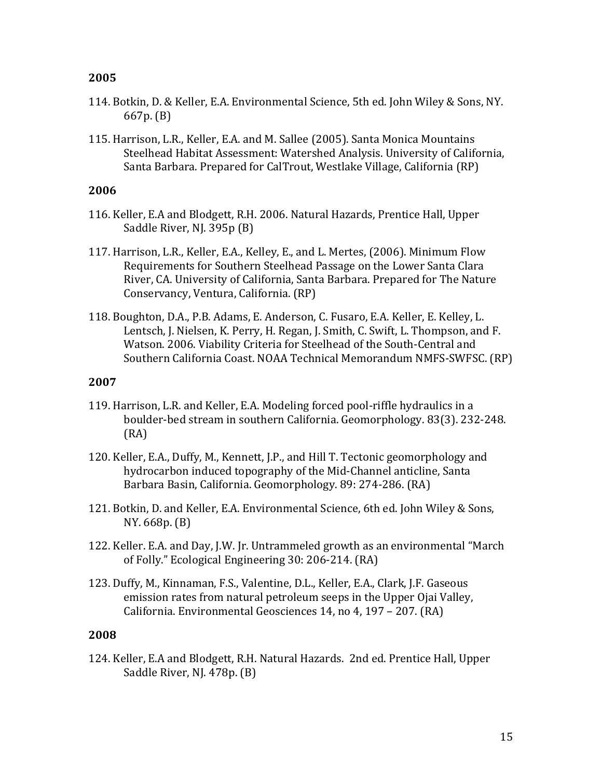- 114. Botkin, D. & Keller, E.A. Environmental Science, 5th ed. John Wiley & Sons, NY.  $667p.$  (B)
- 115. Harrison, L.R., Keller, E.A. and M. Sallee (2005). Santa Monica Mountains Steelhead Habitat Assessment: Watershed Analysis. University of California, Santa Barbara. Prepared for CalTrout, Westlake Village, California (RP)

#### **2006**

- 116. Keller, E.A and Blodgett, R.H. 2006. Natural Hazards, Prentice Hall, Upper Saddle River, NJ. 395p (B)
- 117. Harrison, L.R., Keller, E.A., Kelley, E., and L. Mertes, (2006). Minimum Flow Requirements for Southern Steelhead Passage on the Lower Santa Clara River, CA. University of California, Santa Barbara. Prepared for The Nature Conservancy, Ventura, California. (RP)
- 118. Boughton, D.A., P.B. Adams, E. Anderson, C. Fusaro, E.A. Keller, E. Kelley, L. Lentsch, J. Nielsen, K. Perry, H. Regan, J. Smith, C. Swift, L. Thompson, and F. Watson. 2006. Viability Criteria for Steelhead of the South-Central and Southern California Coast. NOAA Technical Memorandum NMFS-SWFSC. (RP)

#### **2007**

- 119. Harrison, L.R. and Keller, E.A. Modeling forced pool-riffle hydraulics in a boulder-bed stream in southern California. Geomorphology. 83(3). 232-248. (RA)
- 120. Keller, E.A., Duffy, M., Kennett, J.P., and Hill T. Tectonic geomorphology and hydrocarbon induced topography of the Mid-Channel anticline, Santa Barbara Basin, California. Geomorphology. 89: 274-286. (RA)
- 121. Botkin, D. and Keller, E.A. Environmental Science, 6th ed. John Wiley & Sons, NY. 668p. (B)
- 122. Keller. E.A. and Day, J.W. Jr. Untrammeled growth as an environmental "March of Folly." Ecological Engineering 30: 206-214. (RA)
- 123. Duffy, M., Kinnaman, F.S., Valentine, D.L., Keller, E.A., Clark, J.F. Gaseous emission rates from natural petroleum seeps in the Upper Ojai Valley, California. Environmental Geosciences 14, no 4, 197 - 207. (RA)

#### **2008**

124. Keller, E.A and Blodgett, R.H. Natural Hazards. 2nd ed. Prentice Hall, Upper Saddle River, NJ. 478p. (B)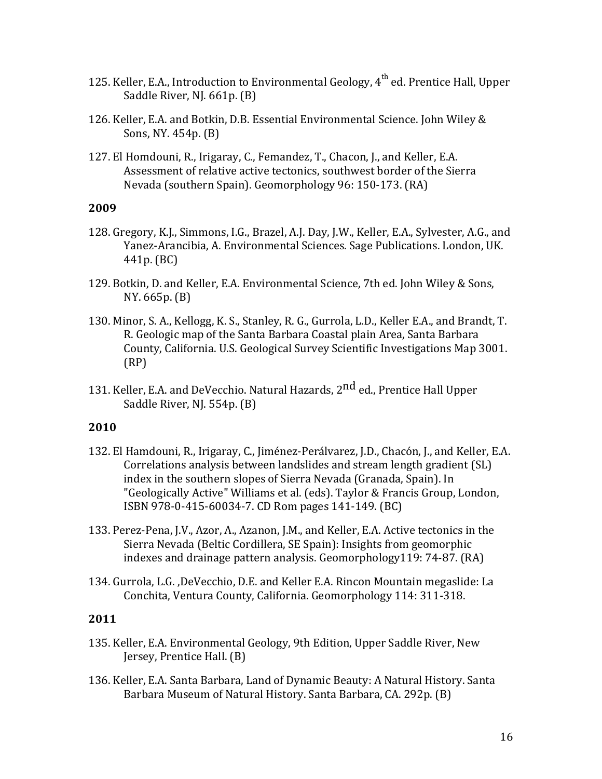- 125. Keller, E.A., Introduction to Environmental Geology,  $4^{\text{th}}$  ed. Prentice Hall, Upper Saddle River, NJ. 661p. (B)
- 126. Keller, E.A. and Botkin, D.B. Essential Environmental Science. John Wiley & Sons, NY.  $454p.$  (B)
- 127. El Homdouni, R., Irigaray, C., Femandez, T., Chacon, J., and Keller, E.A. Assessment of relative active tectonics, southwest border of the Sierra Nevada (southern Spain). Geomorphology 96: 150-173. (RA)

- 128. Gregory, K.J., Simmons, I.G., Brazel, A.J. Day, J.W., Keller, E.A., Sylvester, A.G., and Yanez-Arancibia, A. Environmental Sciences. Sage Publications. London, UK. 441p. (BC)
- 129. Botkin, D. and Keller, E.A. Environmental Science, 7th ed. John Wiley & Sons, NY. 665p. (B)
- 130. Minor, S. A., Kellogg, K. S., Stanley, R. G., Gurrola, L.D., Keller E.A., and Brandt, T. R. Geologic map of the Santa Barbara Coastal plain Area, Santa Barbara County, California. U.S. Geological Survey Scientific Investigations Map 3001. (RP)
- 131. Keller, E.A. and DeVecchio. Natural Hazards, 2<sup>nd</sup> ed., Prentice Hall Upper Saddle River, NJ.  $554p.$  (B)

#### **2010**

- 132. El Hamdouni, R., Irigaray, C., Jiménez-Perálvarez, J.D., Chacón, J., and Keller, E.A. Correlations analysis between landslides and stream length gradient (SL) index in the southern slopes of Sierra Nevada (Granada, Spain). In "Geologically Active" Williams et al. (eds). Taylor & Francis Group, London, ISBN 978-0-415-60034-7. CD Rom pages 141-149. (BC)
- 133. Perez-Pena, J.V., Azor, A., Azanon, J.M., and Keller, E.A. Active tectonics in the Sierra Nevada (Beltic Cordillera, SE Spain): Insights from geomorphic indexes and drainage pattern analysis. Geomorphology119:  $74-87$ . (RA)
- 134. Gurrola, L.G., DeVecchio, D.E. and Keller E.A. Rincon Mountain megaslide: La Conchita, Ventura County, California. Geomorphology 114: 311-318.

- 135. Keller, E.A. Environmental Geology, 9th Edition, Upper Saddle River, New Jersey, Prentice Hall. (B)
- 136. Keller, E.A. Santa Barbara, Land of Dynamic Beauty: A Natural History. Santa Barbara Museum of Natural History. Santa Barbara, CA. 292p. (B)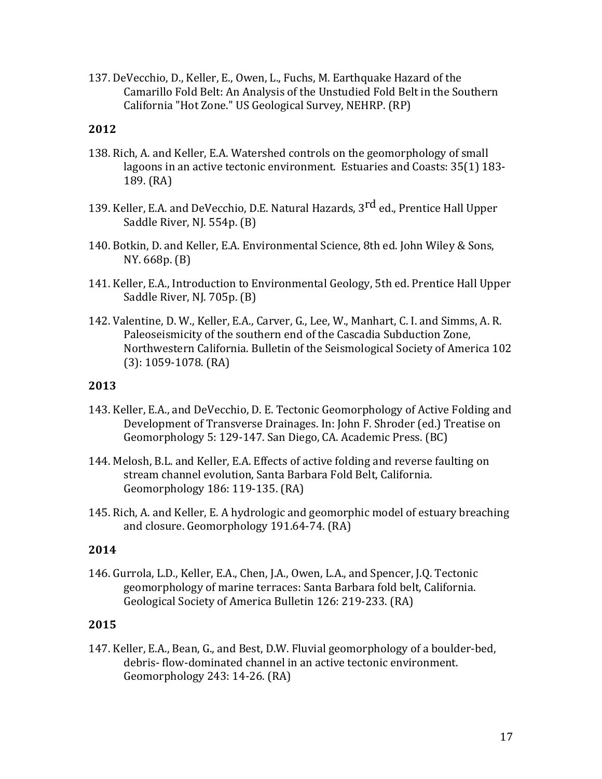137. DeVecchio, D., Keller, E., Owen, L., Fuchs, M. Earthquake Hazard of the Camarillo Fold Belt: An Analysis of the Unstudied Fold Belt in the Southern California "Hot Zone." US Geological Survey, NEHRP. (RP)

## **2012**

- 138. Rich, A. and Keller, E.A. Watershed controls on the geomorphology of small lagoons in an active tectonic environment. Estuaries and Coasts: 35(1) 183- $189. (RA)$
- 139. Keller, E.A. and DeVecchio, D.E. Natural Hazards, 3<sup>rd</sup> ed., Prentice Hall Upper Saddle River, NJ. 554p. (B)
- 140. Botkin, D. and Keller, E.A. Environmental Science, 8th ed. John Wiley & Sons, NY. 668p. (B)
- 141. Keller, E.A., Introduction to Environmental Geology, 5th ed. Prentice Hall Upper Saddle River, NJ. 705p. (B)
- 142. Valentine, D. W., Keller, E.A., Carver, G., Lee, W., Manhart, C. I. and Simms, A. R. Paleoseismicity of the southern end of the Cascadia Subduction Zone, Northwestern California. Bulletin of the Seismological Society of America 102  $(3): 1059-1078$ .  $(RA)$

### **2013**

- 143. Keller, E.A., and DeVecchio, D. E. Tectonic Geomorphology of Active Folding and Development of Transverse Drainages. In: John F. Shroder (ed.) Treatise on Geomorphology 5: 129-147. San Diego, CA. Academic Press. (BC)
- 144. Melosh, B.L. and Keller, E.A. Effects of active folding and reverse faulting on stream channel evolution, Santa Barbara Fold Belt, California. Geomorphology 186: 119-135. (RA)
- 145. Rich, A. and Keller, E. A hydrologic and geomorphic model of estuary breaching and closure. Geomorphology 191.64-74. (RA)

#### **2014**

146. Gurrola, L.D., Keller, E.A., Chen, J.A., Owen, L.A., and Spencer, J.Q. Tectonic geomorphology of marine terraces: Santa Barbara fold belt, California. Geological Society of America Bulletin 126: 219-233. (RA)

## **2015**

147. Keller, E.A., Bean, G., and Best, D.W. Fluvial geomorphology of a boulder-bed, debris- flow-dominated channel in an active tectonic environment. Geomorphology 243: 14-26. (RA)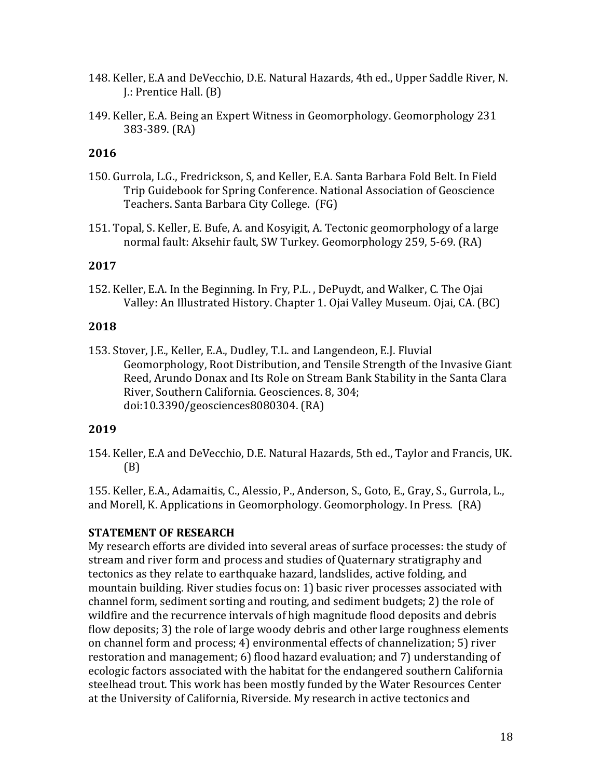- 148. Keller, E.A and DeVecchio, D.E. Natural Hazards, 4th ed., Upper Saddle River, N. **J.: Prentice Hall. (B)**
- 149. Keller, E.A. Being an Expert Witness in Geomorphology. Geomorphology 231 383-389. (RA)

- 150. Gurrola, L.G., Fredrickson, S, and Keller, E.A. Santa Barbara Fold Belt. In Field Trip Guidebook for Spring Conference. National Association of Geoscience Teachers. Santa Barbara City College. (FG)
- 151. Topal, S. Keller, E. Bufe, A. and Kosyigit, A. Tectonic geomorphology of a large normal fault: Aksehir fault, SW Turkey. Geomorphology 259, 5-69. (RA)

## **2017**

152. Keller, E.A. In the Beginning. In Fry, P.L., DePuydt, and Walker, C. The Ojai Valley: An Illustrated History. Chapter 1. Ojai Valley Museum. Ojai, CA. (BC)

## **2018**

153. Stover, J.E., Keller, E.A., Dudley, T.L. and Langendeon, E.J. Fluvial Geomorphology, Root Distribution, and Tensile Strength of the Invasive Giant Reed, Arundo Donax and Its Role on Stream Bank Stability in the Santa Clara River, Southern California. Geosciences. 8, 304; doi:10.3390/geosciences8080304. (RA)

## **2019**

154. Keller, E.A and DeVecchio, D.E. Natural Hazards, 5th ed., Taylor and Francis, UK. (B)

155. Keller, E.A., Adamaitis, C., Alessio, P., Anderson, S., Goto, E., Gray, S., Gurrola, L., and Morell, K. Applications in Geomorphology. Geomorphology. In Press. (RA)

## **STATEMENT OF RESEARCH**

My research efforts are divided into several areas of surface processes: the study of stream and river form and process and studies of Quaternary stratigraphy and tectonics as they relate to earthquake hazard, landslides, active folding, and mountain building. River studies focus on: 1) basic river processes associated with channel form, sediment sorting and routing, and sediment budgets; 2) the role of wildfire and the recurrence intervals of high magnitude flood deposits and debris flow deposits; 3) the role of large woody debris and other large roughness elements on channel form and process; 4) environmental effects of channelization; 5) river restoration and management; 6) flood hazard evaluation; and 7) understanding of ecologic factors associated with the habitat for the endangered southern California steelhead trout. This work has been mostly funded by the Water Resources Center at the University of California, Riverside. My research in active tectonics and